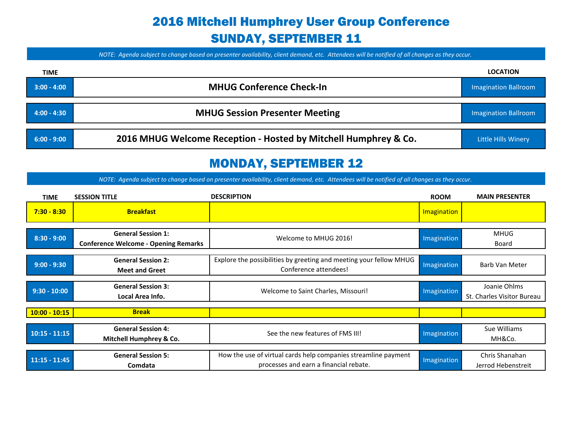# 2016 Mitchell Humphrey User Group Conference SUNDAY, SEPTEMBER 11

*NOTE: Agenda subject to change based on presenter availability, client demand, etc. Attendees will be notified of all changes as they occur.*

| <b>TIME</b>    |                                                                 | <b>LOCATION</b>             |
|----------------|-----------------------------------------------------------------|-----------------------------|
| $3:00 - 4:00$  | <b>MHUG Conference Check-In</b>                                 | <b>Imagination Ballroom</b> |
| $-4:00 - 4:30$ | <b>MHUG Session Presenter Meeting</b>                           | Imagination Ballroom        |
| $6:00 - 9:00$  | 2016 MHUG Welcome Reception - Hosted by Mitchell Humphrey & Co. | Little Hills Winery         |

#### MONDAY, SEPTEMBER 12

| <b>TIME</b>     | <b>SESSION TITLE</b>                                                     | <b>DESCRIPTION</b>                                                                                       | <b>ROOM</b> | <b>MAIN PRESENTER</b>                      |
|-----------------|--------------------------------------------------------------------------|----------------------------------------------------------------------------------------------------------|-------------|--------------------------------------------|
| $7:30 - 8:30$   | <b>Breakfast</b>                                                         |                                                                                                          | Imagination |                                            |
| $8:30 - 9:00$   | <b>General Session 1:</b><br><b>Conference Welcome - Opening Remarks</b> | Welcome to MHUG 2016!                                                                                    | Imagination | MHUG<br>Board                              |
| $9:00 - 9:30$   | <b>General Session 2:</b><br><b>Meet and Greet</b>                       | Explore the possibilities by greeting and meeting your fellow MHUG<br>Conference attendees!              | Imagination | Barb Van Meter                             |
| $9:30 - 10:00$  | <b>General Session 3:</b><br>Local Area Info.                            | Welcome to Saint Charles, Missouri!                                                                      | Imagination | Joanie Ohlms<br>St. Charles Visitor Bureau |
| $10:00 - 10:15$ | <b>Break</b>                                                             |                                                                                                          |             |                                            |
| $10:15 - 11:15$ | <b>General Session 4:</b><br>Mitchell Humphrey & Co.                     | See the new features of FMS III!                                                                         | Imagination | Sue Williams<br>MH&Co.                     |
| $11:15 - 11:45$ | <b>General Session 5:</b><br>Comdata                                     | How the use of virtual cards help companies streamline payment<br>processes and earn a financial rebate. | Imagination | Chris Shanahan<br>Jerrod Hebenstreit       |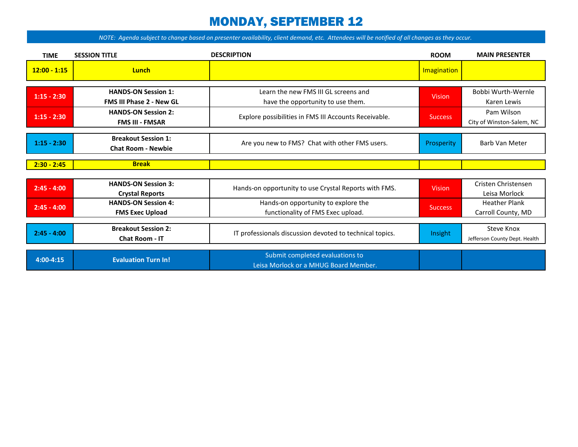### MONDAY, SEPTEMBER 12

| <b>TIME</b>    | <b>SESSION TITLE</b>                                          | <b>DESCRIPTION</b>                                                        | <b>ROOM</b>    | <b>MAIN PRESENTER</b>                       |
|----------------|---------------------------------------------------------------|---------------------------------------------------------------------------|----------------|---------------------------------------------|
| $12:00 - 1:15$ | Lunch                                                         |                                                                           | Imagination    |                                             |
| $1:15 - 2:30$  | <b>HANDS-ON Session 1:</b><br><b>FMS III Phase 2 - New GL</b> | Learn the new FMS III GL screens and<br>have the opportunity to use them. | <b>Vision</b>  | Bobbi Wurth-Wernle<br>Karen Lewis           |
| $1:15 - 2:30$  | <b>HANDS-ON Session 2:</b><br><b>FMS III - FMSAR</b>          | Explore possibilities in FMS III Accounts Receivable.                     | Success        | Pam Wilson<br>City of Winston-Salem, NC     |
| $1:15 - 2:30$  | <b>Breakout Session 1:</b><br><b>Chat Room - Newbie</b>       | Are you new to FMS? Chat with other FMS users.                            | Prosperity     | Barb Van Meter                              |
| $2:30 - 2:45$  | <b>Break</b>                                                  |                                                                           |                |                                             |
|                |                                                               |                                                                           |                |                                             |
| $2:45 - 4:00$  | <b>HANDS-ON Session 3:</b><br><b>Crystal Reports</b>          | Hands-on opportunity to use Crystal Reports with FMS.                     | <b>Vision</b>  | Cristen Christensen<br>Leisa Morlock        |
| $2:45 - 4:00$  | <b>HANDS-ON Session 4:</b><br><b>FMS Exec Upload</b>          | Hands-on opportunity to explore the<br>functionality of FMS Exec upload.  | <b>Success</b> | <b>Heather Plank</b><br>Carroll County, MD  |
| $2:45 - 4:00$  | <b>Breakout Session 2:</b><br><b>Chat Room - IT</b>           | IT professionals discussion devoted to technical topics.                  | Insight        | Steve Knox<br>Jefferson County Dept. Health |
| $4:00-4:15$    | <b>Evaluation Turn In!</b>                                    | Submit completed evaluations to<br>Leisa Morlock or a MHUG Board Member.  |                |                                             |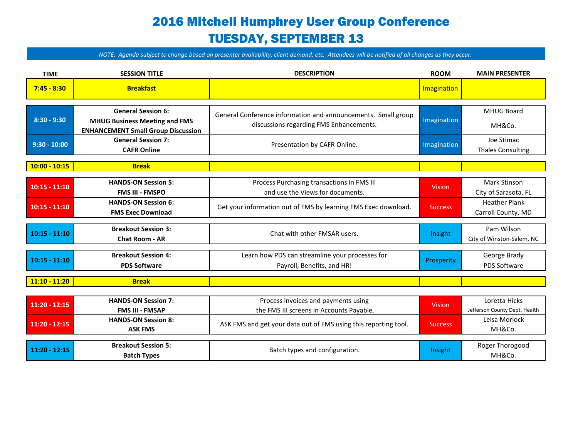# 2016 Mitchell Humphrey User Group Conference TUESDAY, SEPTEMBER 13

| <b>TIME</b>     | <b>SESSION TITLE</b>                                                                                           | <b>DESCRIPTION</b>                                                                                       | <b>ROOM</b>    | <b>MAIN PRESENTER</b>                          |
|-----------------|----------------------------------------------------------------------------------------------------------------|----------------------------------------------------------------------------------------------------------|----------------|------------------------------------------------|
| $7:45 - 8:30$   | <b>Breakfast</b>                                                                                               |                                                                                                          | Imagination    |                                                |
| $8:30 - 9:30$   | <b>General Session 6:</b><br><b>MHUG Business Meeting and FMS</b><br><b>ENHANCEMENT Small Group Discussion</b> | General Conference information and announcements. Small group<br>discussions regarding FMS Enhancements. | Imagination    | <b>MHUG Board</b><br>MH&Co.                    |
| $9:30 - 10:00$  | <b>General Session 7:</b><br><b>CAFR Online</b>                                                                | Presentation by CAFR Online.                                                                             | Imagination    | Joe Stimac<br><b>Thales Consulting</b>         |
| $10:00 - 10:15$ | <b>Break</b>                                                                                                   |                                                                                                          |                |                                                |
| $10:15 - 11:10$ | <b>HANDS-ON Session 5:</b><br><b>FMS III - FMSPO</b>                                                           | Process Purchasing transactions in FMS III<br>and use the Views for documents.                           | <b>Vision</b>  | <b>Mark Stinson</b><br>City of Sarasota, FL    |
| $10:15 - 11:10$ | <b>HANDS-ON Session 6:</b><br><b>FMS Exec Download</b>                                                         | Get your information out of FMS by learning FMS Exec download.                                           | <b>Success</b> | <b>Heather Plank</b><br>Carroll County, MD     |
| $10:15 - 11:10$ | <b>Breakout Session 3:</b><br><b>Chat Room - AR</b>                                                            | Chat with other FMSAR users.                                                                             | Insight        | Pam Wilson<br>City of Winston-Salem, NC        |
| $10:15 - 11:10$ | <b>Breakout Session 4:</b><br><b>PDS Software</b>                                                              | Learn how PDS can streamline your processes for<br>Payroll, Benefits, and HR!                            | Prosperity     | George Brady<br><b>PDS Software</b>            |
| $11:10 - 11:20$ | <b>Break</b>                                                                                                   |                                                                                                          |                |                                                |
| $11:20 - 12:15$ | <b>HANDS-ON Session 7:</b><br><b>FMS III - FMSAP</b>                                                           | Process invoices and payments using<br>the FMS III screens in Accounts Payable.                          | <b>Vision</b>  | Loretta Hicks<br>Jefferson County Dept. Health |
| $11:20 - 12:15$ | <b>HANDS-ON Session 8:</b><br><b>ASK FMS</b>                                                                   | ASK FMS and get your data out of FMS using this reporting tool.                                          | <b>Success</b> | Leisa Morlock<br>MH&Co.                        |
| $11:20 - 12:15$ | <b>Breakout Session 5:</b><br><b>Batch Types</b>                                                               | Batch types and configuration.                                                                           | Insight        | Roger Thorogood<br>MH&Co.                      |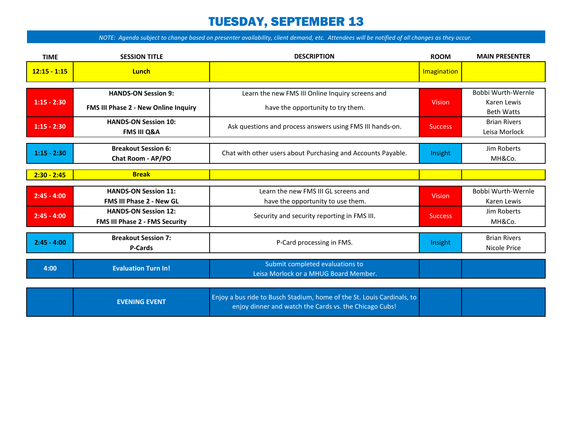#### TUESDAY, SEPTEMBER 13

| <b>TIME</b>    | <b>SESSION TITLE</b>                                               | <b>DESCRIPTION</b>                                                                                                               | <b>ROOM</b>    | <b>MAIN PRESENTER</b>                                  |
|----------------|--------------------------------------------------------------------|----------------------------------------------------------------------------------------------------------------------------------|----------------|--------------------------------------------------------|
| $12:15 - 1:15$ | Lunch                                                              |                                                                                                                                  | Imagination    |                                                        |
| $1:15 - 2:30$  | <b>HANDS-ON Session 9:</b><br>FMS III Phase 2 - New Online Inquiry | Learn the new FMS III Online Inquiry screens and<br>have the opportunity to try them.                                            | <b>Vision</b>  | Bobbi Wurth-Wernle<br>Karen Lewis<br><b>Beth Watts</b> |
| $1:15 - 2:30$  | <b>HANDS-ON Session 10:</b><br><b>FMS III Q&amp;A</b>              | Ask questions and process answers using FMS III hands-on.                                                                        | <b>Success</b> | <b>Brian Rivers</b><br>Leisa Morlock                   |
| $1:15 - 2:30$  | <b>Breakout Session 6:</b><br>Chat Room - AP/PO                    | Chat with other users about Purchasing and Accounts Payable.                                                                     | Insight        | Jim Roberts<br>MH&Co.                                  |
| $2:30 - 2:45$  | <b>Break</b>                                                       |                                                                                                                                  |                |                                                        |
| $2:45 - 4:00$  | <b>HANDS-ON Session 11:</b><br><b>FMS III Phase 2 - New GL</b>     | Learn the new FMS III GL screens and<br>have the opportunity to use them.                                                        | <b>Vision</b>  | Bobbi Wurth-Wernle<br>Karen Lewis                      |
| $2:45 - 4:00$  | <b>HANDS-ON Session 12:</b><br>FMS III Phase 2 - FMS Security      | Security and security reporting in FMS III.                                                                                      | <b>Success</b> | Jim Roberts<br>MH&Co.                                  |
| $2:45 - 4:00$  | <b>Breakout Session 7:</b><br><b>P-Cards</b>                       | P-Card processing in FMS.                                                                                                        | Insight        | <b>Brian Rivers</b><br>Nicole Price                    |
| 4:00           | <b>Evaluation Turn In!</b>                                         | Submit completed evaluations to<br>Leisa Morlock or a MHUG Board Member.                                                         |                |                                                        |
|                | <b>EVENING EVENT</b>                                               | Enjoy a bus ride to Busch Stadium, home of the St. Louis Cardinals, to<br>enjoy dinner and watch the Cards vs. the Chicago Cubs! |                |                                                        |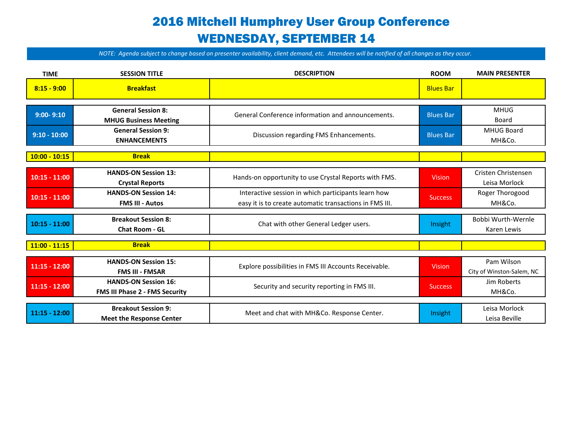## 2016 Mitchell Humphrey User Group Conference WEDNESDAY, SEPTEMBER 14

| <b>TIME</b>     | <b>SESSION TITLE</b>            | <b>DESCRIPTION</b>                                      | <b>ROOM</b>      | <b>MAIN PRESENTER</b>     |
|-----------------|---------------------------------|---------------------------------------------------------|------------------|---------------------------|
| $8:15 - 9:00$   | <b>Breakfast</b>                |                                                         | <b>Blues Bar</b> |                           |
|                 |                                 |                                                         |                  |                           |
| $9:00 - 9:10$   | <b>General Session 8:</b>       | General Conference information and announcements.       | <b>Blues Bar</b> | <b>MHUG</b>               |
|                 | <b>MHUG Business Meeting</b>    |                                                         |                  | Board                     |
| $9:10 - 10:00$  | <b>General Session 9:</b>       |                                                         | <b>Blues Bar</b> | <b>MHUG Board</b>         |
|                 | <b>ENHANCEMENTS</b>             | Discussion regarding FMS Enhancements.                  |                  | MH&Co.                    |
|                 |                                 |                                                         |                  |                           |
| $10:00 - 10:15$ | <b>Break</b>                    |                                                         |                  |                           |
|                 |                                 |                                                         |                  |                           |
| $10:15 - 11:00$ | <b>HANDS-ON Session 13:</b>     | Hands-on opportunity to use Crystal Reports with FMS.   | <b>Vision</b>    | Cristen Christensen       |
|                 | <b>Crystal Reports</b>          |                                                         |                  | Leisa Morlock             |
|                 | <b>HANDS-ON Session 14:</b>     | Interactive session in which participants learn how     |                  | Roger Thorogood           |
| $10:15 - 11:00$ | <b>FMS III - Autos</b>          | easy it is to create automatic transactions in FMS III. | <b>Success</b>   | MH&Co.                    |
|                 |                                 |                                                         |                  |                           |
| $10:15 - 11:00$ | <b>Breakout Session 8:</b>      | Chat with other General Ledger users.                   | Insight          | Bobbi Wurth-Wernle        |
|                 | <b>Chat Room - GL</b>           |                                                         |                  | Karen Lewis               |
|                 |                                 |                                                         |                  |                           |
| $11:00 - 11:15$ | <b>Break</b>                    |                                                         |                  |                           |
|                 | <b>HANDS-ON Session 15:</b>     |                                                         |                  |                           |
| $11:15 - 12:00$ |                                 | Explore possibilities in FMS III Accounts Receivable.   | <b>Vision</b>    | Pam Wilson                |
|                 | <b>FMS III - FMSAR</b>          |                                                         |                  | City of Winston-Salem, NC |
| $11:15 - 12:00$ | <b>HANDS-ON Session 16:</b>     | Security and security reporting in FMS III.             | <b>Success</b>   | Jim Roberts               |
|                 | FMS III Phase 2 - FMS Security  |                                                         |                  | MH&Co.                    |
|                 |                                 |                                                         |                  |                           |
| $11:15 - 12:00$ | <b>Breakout Session 9:</b>      | Meet and chat with MH&Co. Response Center.              | Insight          | Leisa Morlock             |
|                 | <b>Meet the Response Center</b> |                                                         |                  | Leisa Beville             |